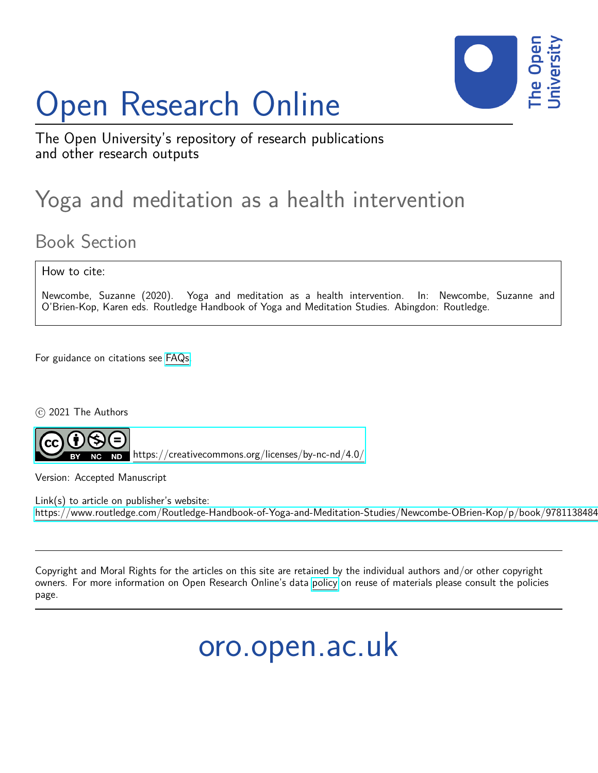# Open Research Online



The Open University's repository of research publications and other research outputs

## Yoga and meditation as a health intervention

### Book Section

How to cite:

Newcombe, Suzanne (2020). Yoga and meditation as a health intervention. In: Newcombe, Suzanne and O'Brien-Kop, Karen eds. Routledge Handbook of Yoga and Meditation Studies. Abingdon: Routledge.

For guidance on citations see [FAQs.](http://oro.open.ac.uk/help/helpfaq.html)

c 2021 The Authors



<https://creativecommons.org/licenses/by-nc-nd/4.0/>

Version: Accepted Manuscript

Link(s) to article on publisher's website: https://www.routledge.com/Routledge-Handbook-of-Yoga-and-Meditation-Studies/Newcombe-OBrien-Kop/p/book/9781138484

Copyright and Moral Rights for the articles on this site are retained by the individual authors and/or other copyright owners. For more information on Open Research Online's data [policy](http://oro.open.ac.uk/policies.html) on reuse of materials please consult the policies page.

oro.open.ac.uk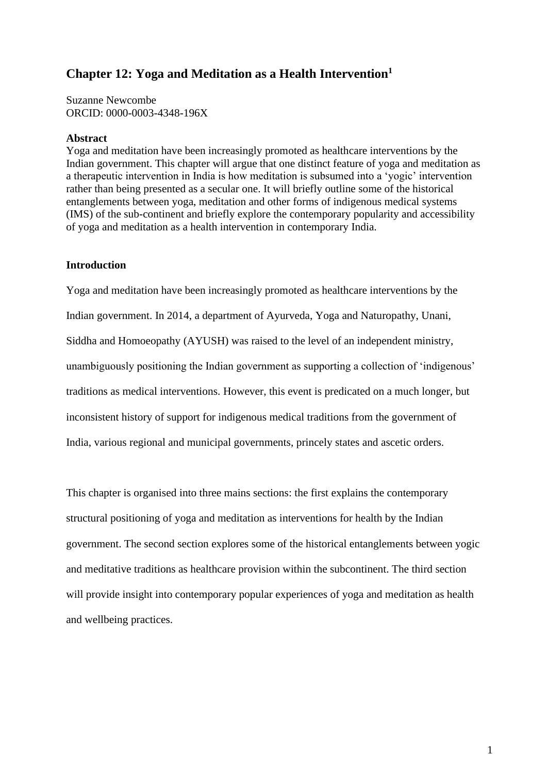#### **Chapter 12: Yoga and Meditation as a Health Intervention<sup>1</sup>**

Suzanne Newcombe ORCID: 0000-0003-4348-196X

#### **Abstract**

Yoga and meditation have been increasingly promoted as healthcare interventions by the Indian government. This chapter will argue that one distinct feature of yoga and meditation as a therapeutic intervention in India is how meditation is subsumed into a 'yogic' intervention rather than being presented as a secular one. It will briefly outline some of the historical entanglements between yoga, meditation and other forms of indigenous medical systems (IMS) of the sub-continent and briefly explore the contemporary popularity and accessibility of yoga and meditation as a health intervention in contemporary India.

#### **Introduction**

Yoga and meditation have been increasingly promoted as healthcare interventions by the Indian government. In 2014, a department of Ayurveda, Yoga and Naturopathy, Unani, Siddha and Homoeopathy (AYUSH) was raised to the level of an independent ministry, unambiguously positioning the Indian government as supporting a collection of 'indigenous' traditions as medical interventions. However, this event is predicated on a much longer, but inconsistent history of support for indigenous medical traditions from the government of India, various regional and municipal governments, princely states and ascetic orders.

This chapter is organised into three mains sections: the first explains the contemporary structural positioning of yoga and meditation as interventions for health by the Indian government. The second section explores some of the historical entanglements between yogic and meditative traditions as healthcare provision within the subcontinent. The third section will provide insight into contemporary popular experiences of yoga and meditation as health and wellbeing practices.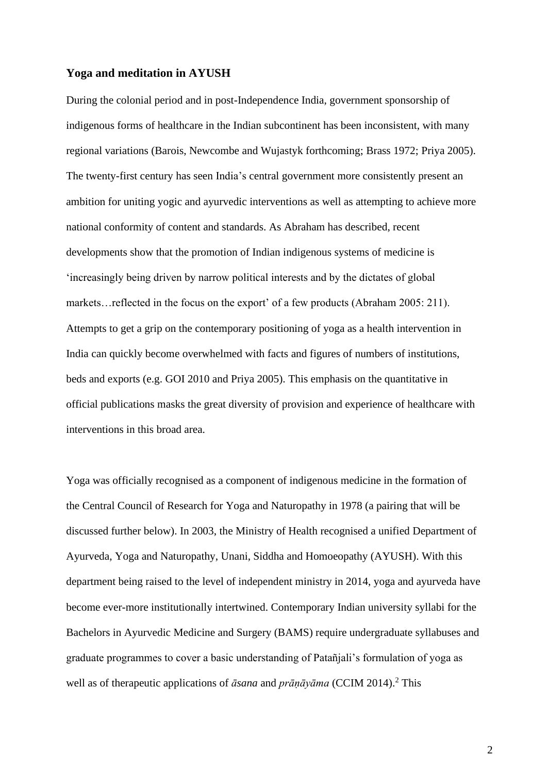#### **Yoga and meditation in AYUSH**

During the colonial period and in post-Independence India, government sponsorship of indigenous forms of healthcare in the Indian subcontinent has been inconsistent, with many regional variations (Barois, Newcombe and Wujastyk forthcoming; Brass 1972; Priya 2005). The twenty-first century has seen India's central government more consistently present an ambition for uniting yogic and ayurvedic interventions as well as attempting to achieve more national conformity of content and standards. As Abraham has described, recent developments show that the promotion of Indian indigenous systems of medicine is 'increasingly being driven by narrow political interests and by the dictates of global markets…reflected in the focus on the export' of a few products (Abraham 2005: 211). Attempts to get a grip on the contemporary positioning of yoga as a health intervention in India can quickly become overwhelmed with facts and figures of numbers of institutions, beds and exports (e.g. GOI 2010 and Priya 2005). This emphasis on the quantitative in official publications masks the great diversity of provision and experience of healthcare with interventions in this broad area.

Yoga was officially recognised as a component of indigenous medicine in the formation of the Central Council of Research for Yoga and Naturopathy in 1978 (a pairing that will be discussed further below). In 2003, the Ministry of Health recognised a unified Department of Ayurveda, Yoga and Naturopathy, Unani, Siddha and Homoeopathy (AYUSH). With this department being raised to the level of independent ministry in 2014, yoga and ayurveda have become ever-more institutionally intertwined. Contemporary Indian university syllabi for the Bachelors in Ayurvedic Medicine and Surgery (BAMS) require undergraduate syllabuses and graduate programmes to cover a basic understanding of Patañjali's formulation of yoga as well as of therapeutic applications of *āsana* and *prānāyāma* (CCIM 2014).<sup>2</sup> This

2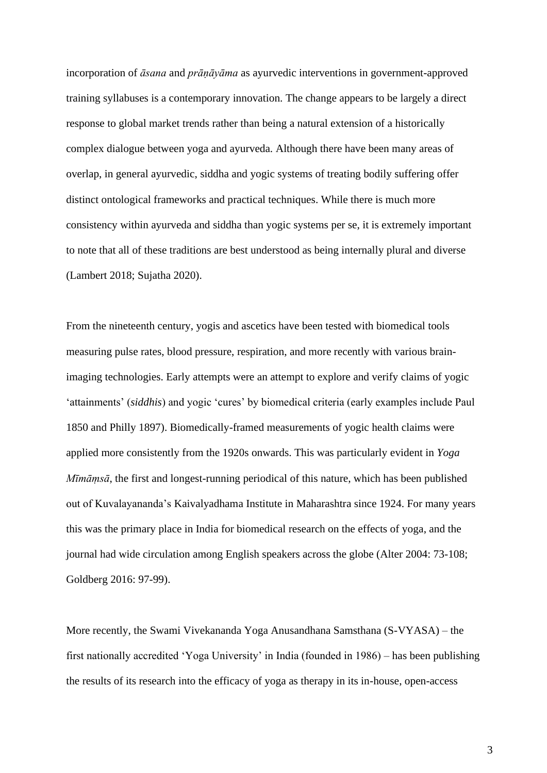incorporation of *āsana* and *prāṇāyāma* as ayurvedic interventions in government-approved training syllabuses is a contemporary innovation. The change appears to be largely a direct response to global market trends rather than being a natural extension of a historically complex dialogue between yoga and ayurveda. Although there have been many areas of overlap, in general ayurvedic, siddha and yogic systems of treating bodily suffering offer distinct ontological frameworks and practical techniques. While there is much more consistency within ayurveda and siddha than yogic systems per se, it is extremely important to note that all of these traditions are best understood as being internally plural and diverse (Lambert 2018; Sujatha 2020).

From the nineteenth century, yogis and ascetics have been tested with biomedical tools measuring pulse rates, blood pressure, respiration, and more recently with various brainimaging technologies. Early attempts were an attempt to explore and verify claims of yogic 'attainments' (*siddhis*) and yogic 'cures' by biomedical criteria (early examples include Paul 1850 and Philly 1897). Biomedically-framed measurements of yogic health claims were applied more consistently from the 1920s onwards. This was particularly evident in *Yoga Mīmāṃsā*, the first and longest-running periodical of this nature, which has been published out of Kuvalayananda's Kaivalyadhama Institute in Maharashtra since 1924. For many years this was the primary place in India for biomedical research on the effects of yoga, and the journal had wide circulation among English speakers across the globe (Alter 2004: 73-108; Goldberg 2016: 97-99).

More recently, the Swami Vivekananda Yoga Anusandhana Samsthana (S-VYASA) – the first nationally accredited 'Yoga University' in India (founded in 1986) – has been publishing the results of its research into the efficacy of yoga as therapy in its in-house, open-access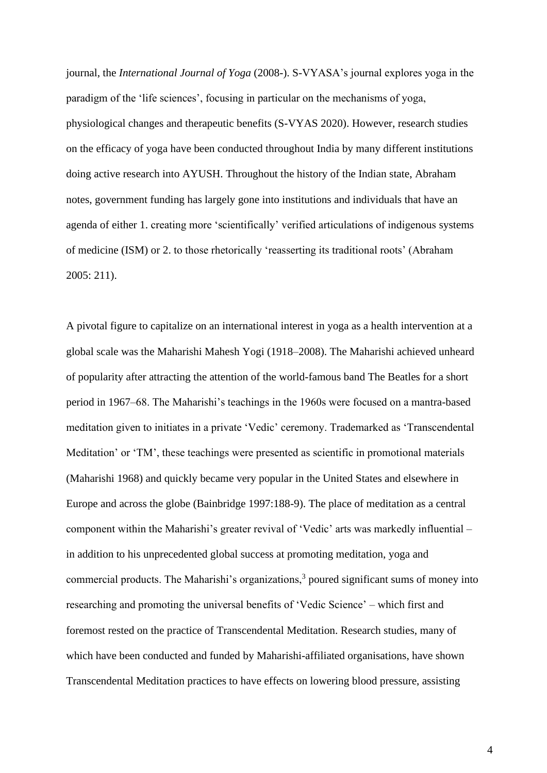journal, the *International Journal of Yoga* (2008-). S-VYASA's journal explores yoga in the paradigm of the 'life sciences', focusing in particular on the mechanisms of yoga, physiological changes and therapeutic benefits (S-VYAS 2020). However, research studies on the efficacy of yoga have been conducted throughout India by many different institutions doing active research into AYUSH. Throughout the history of the Indian state, Abraham notes, government funding has largely gone into institutions and individuals that have an agenda of either 1. creating more 'scientifically' verified articulations of indigenous systems of medicine (ISM) or 2. to those rhetorically 'reasserting its traditional roots' (Abraham 2005: 211).

A pivotal figure to capitalize on an international interest in yoga as a health intervention at a global scale was the Maharishi Mahesh Yogi (1918–2008). The Maharishi achieved unheard of popularity after attracting the attention of the world-famous band The Beatles for a short period in 1967–68. The Maharishi's teachings in the 1960s were focused on a mantra-based meditation given to initiates in a private 'Vedic' ceremony. Trademarked as 'Transcendental Meditation' or 'TM', these teachings were presented as scientific in promotional materials (Maharishi 1968) and quickly became very popular in the United States and elsewhere in Europe and across the globe (Bainbridge 1997:188-9). The place of meditation as a central component within the Maharishi's greater revival of 'Vedic' arts was markedly influential – in addition to his unprecedented global success at promoting meditation, yoga and commercial products. The Maharishi's organizations, $3$  poured significant sums of money into researching and promoting the universal benefits of 'Vedic Science' – which first and foremost rested on the practice of Transcendental Meditation. Research studies, many of which have been conducted and funded by Maharishi-affiliated organisations, have shown Transcendental Meditation practices to have effects on lowering blood pressure, assisting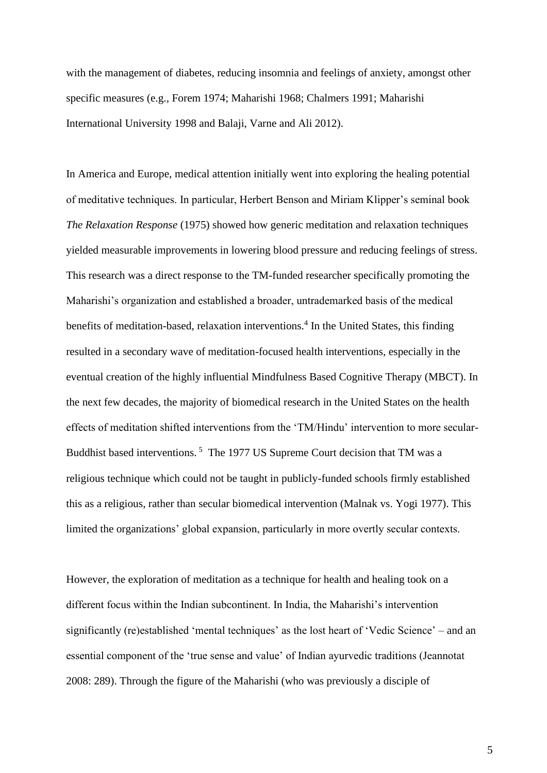with the management of diabetes, reducing insomnia and feelings of anxiety, amongst other specific measures (e.g., Forem 1974; Maharishi 1968; Chalmers 1991; Maharishi International University 1998 and Balaji, Varne and Ali 2012).

In America and Europe, medical attention initially went into exploring the healing potential of meditative techniques. In particular, Herbert Benson and Miriam Klipper's seminal book *The Relaxation Response* (1975) showed how generic meditation and relaxation techniques yielded measurable improvements in lowering blood pressure and reducing feelings of stress. This research was a direct response to the TM-funded researcher specifically promoting the Maharishi's organization and established a broader, untrademarked basis of the medical benefits of meditation-based, relaxation interventions.<sup>4</sup> In the United States, this finding resulted in a secondary wave of meditation-focused health interventions, especially in the eventual creation of the highly influential Mindfulness Based Cognitive Therapy (MBCT). In the next few decades, the majority of biomedical research in the United States on the health effects of meditation shifted interventions from the 'TM/Hindu' intervention to more secular-Buddhist based interventions.<sup>5</sup> The 1977 US Supreme Court decision that TM was a religious technique which could not be taught in publicly-funded schools firmly established this as a religious, rather than secular biomedical intervention (Malnak vs. Yogi 1977). This limited the organizations' global expansion, particularly in more overtly secular contexts.

However, the exploration of meditation as a technique for health and healing took on a different focus within the Indian subcontinent. In India, the Maharishi's intervention significantly (re)established 'mental techniques' as the lost heart of 'Vedic Science' – and an essential component of the 'true sense and value' of Indian ayurvedic traditions (Jeannotat 2008: 289). Through the figure of the Maharishi (who was previously a disciple of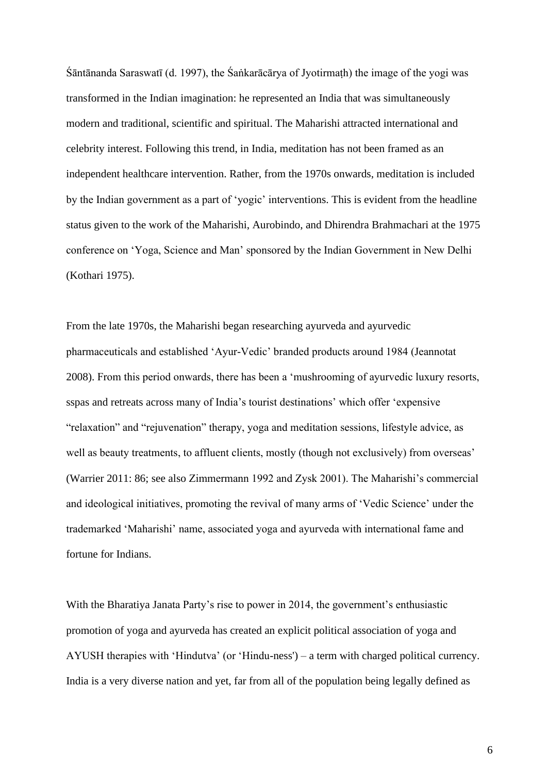Śāntānanda Saraswatī (d. 1997), the Śaṅkarācārya of Jyotirmaṭh) the image of the yogi was transformed in the Indian imagination: he represented an India that was simultaneously modern and traditional, scientific and spiritual. The Maharishi attracted international and celebrity interest. Following this trend, in India, meditation has not been framed as an independent healthcare intervention. Rather, from the 1970s onwards, meditation is included by the Indian government as a part of 'yogic' interventions. This is evident from the headline status given to the work of the Maharishi, Aurobindo, and Dhirendra Brahmachari at the 1975 conference on 'Yoga, Science and Man' sponsored by the Indian Government in New Delhi (Kothari 1975).

From the late 1970s, the Maharishi began researching ayurveda and ayurvedic pharmaceuticals and established 'Ayur-Vedic' branded products around 1984 (Jeannotat 2008). From this period onwards, there has been a 'mushrooming of ayurvedic luxury resorts, sspas and retreats across many of India's tourist destinations' which offer 'expensive "relaxation" and "rejuvenation" therapy, yoga and meditation sessions, lifestyle advice, as well as beauty treatments, to affluent clients, mostly (though not exclusively) from overseas' (Warrier 2011: 86; see also Zimmermann 1992 and Zysk 2001). The Maharishi's commercial and ideological initiatives, promoting the revival of many arms of 'Vedic Science' under the trademarked 'Maharishi' name, associated yoga and ayurveda with international fame and fortune for Indians.

With the Bharatiya Janata Party's rise to power in 2014, the government's enthusiastic promotion of yoga and ayurveda has created an explicit political association of yoga and AYUSH therapies with 'Hindutva' (or 'Hindu-ness') – a term with charged political currency. India is a very diverse nation and yet, far from all of the population being legally defined as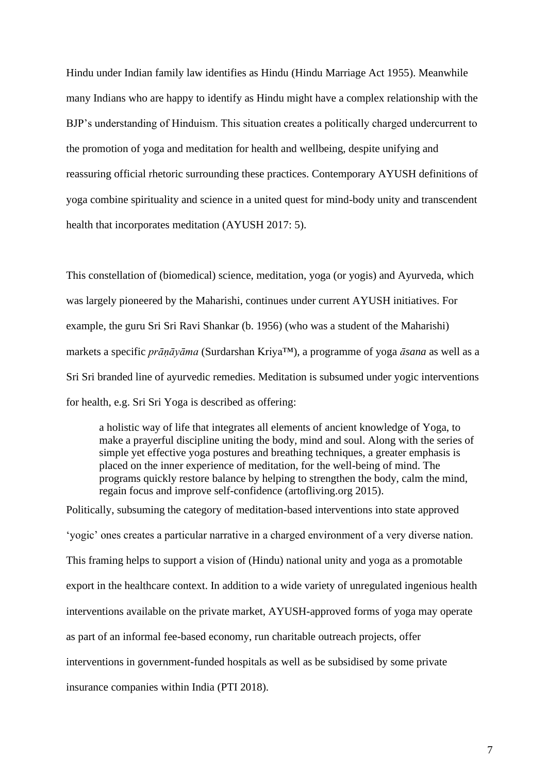Hindu under Indian family law identifies as Hindu (Hindu Marriage Act 1955). Meanwhile many Indians who are happy to identify as Hindu might have a complex relationship with the BJP's understanding of Hinduism. This situation creates a politically charged undercurrent to the promotion of yoga and meditation for health and wellbeing, despite unifying and reassuring official rhetoric surrounding these practices. Contemporary AYUSH definitions of yoga combine spirituality and science in a united quest for mind-body unity and transcendent health that incorporates meditation (AYUSH 2017: 5).

This constellation of (biomedical) science, meditation, yoga (or yogis) and Ayurveda, which was largely pioneered by the Maharishi, continues under current AYUSH initiatives. For example, the guru Sri Sri Ravi Shankar (b. 1956) (who was a student of the Maharishi) markets a specific *prāṇāyāma* (Surdarshan Kriya™), a programme of yoga *āsana* as well as a Sri Sri branded line of ayurvedic remedies. Meditation is subsumed under yogic interventions for health, e.g. Sri Sri Yoga is described as offering:

a holistic way of life that integrates all elements of ancient knowledge of Yoga, to make a prayerful discipline uniting the body, mind and soul. Along with the series of simple yet effective yoga postures and breathing techniques, a greater emphasis is placed on the inner experience of meditation, for the well-being of mind. The programs quickly restore balance by helping to strengthen the body, calm the mind, regain focus and improve self-confidence (artofliving.org 2015).

Politically, subsuming the category of meditation-based interventions into state approved 'yogic' ones creates a particular narrative in a charged environment of a very diverse nation. This framing helps to support a vision of (Hindu) national unity and yoga as a promotable export in the healthcare context. In addition to a wide variety of unregulated ingenious health interventions available on the private market, AYUSH-approved forms of yoga may operate as part of an informal fee-based economy, run charitable outreach projects, offer interventions in government-funded hospitals as well as be subsidised by some private insurance companies within India (PTI 2018).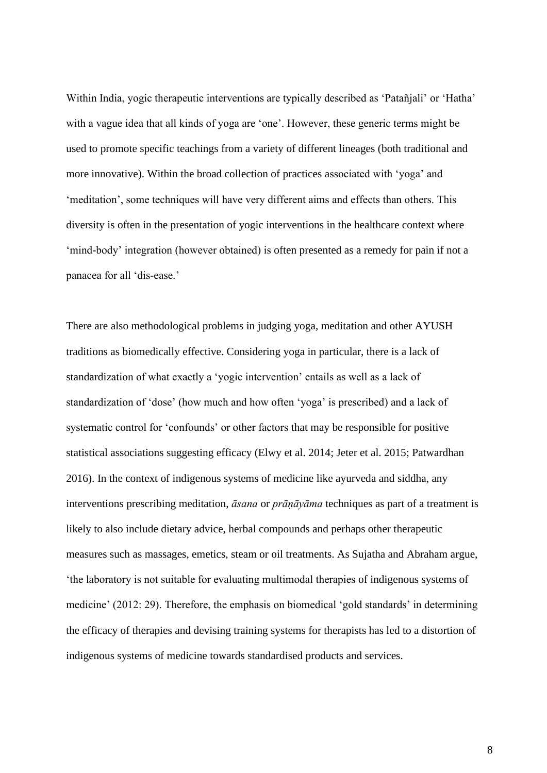Within India, yogic therapeutic interventions are typically described as 'Patañjali' or 'Hatha' with a vague idea that all kinds of yoga are 'one'. However, these generic terms might be used to promote specific teachings from a variety of different lineages (both traditional and more innovative). Within the broad collection of practices associated with 'yoga' and 'meditation', some techniques will have very different aims and effects than others. This diversity is often in the presentation of yogic interventions in the healthcare context where 'mind-body' integration (however obtained) is often presented as a remedy for pain if not a panacea for all 'dis-ease.'

There are also methodological problems in judging yoga, meditation and other AYUSH traditions as biomedically effective. Considering yoga in particular, there is a lack of standardization of what exactly a 'yogic intervention' entails as well as a lack of standardization of 'dose' (how much and how often 'yoga' is prescribed) and a lack of systematic control for 'confounds' or other factors that may be responsible for positive statistical associations suggesting efficacy (Elwy et al. 2014; Jeter et al. 2015; Patwardhan 2016). In the context of indigenous systems of medicine like ayurveda and siddha, any interventions prescribing meditation, *āsana* or *prāṇāyāma* techniques as part of a treatment is likely to also include dietary advice, herbal compounds and perhaps other therapeutic measures such as massages, emetics, steam or oil treatments. As Sujatha and Abraham argue, 'the laboratory is not suitable for evaluating multimodal therapies of indigenous systems of medicine' (2012: 29). Therefore, the emphasis on biomedical 'gold standards' in determining the efficacy of therapies and devising training systems for therapists has led to a distortion of indigenous systems of medicine towards standardised products and services.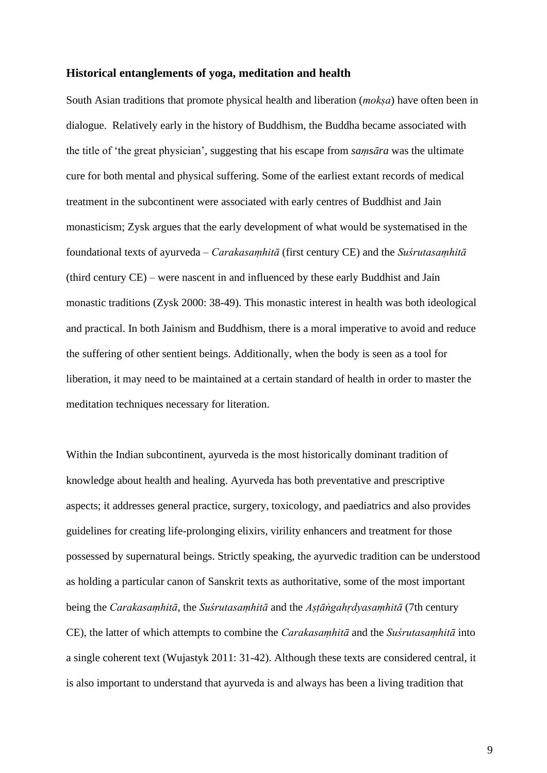#### **Historical entanglements of yoga, meditation and health**

South Asian traditions that promote physical health and liberation (*mokṣa*) have often been in dialogue. Relatively early in the history of Buddhism, the Buddha became associated with the title of 'the great physician', suggesting that his escape from *saṃsāra* was the ultimate cure for both mental and physical suffering. Some of the earliest extant records of medical treatment in the subcontinent were associated with early centres of Buddhist and Jain monasticism; Zysk argues that the early development of what would be systematised in the foundational texts of ayurveda – *Carakasaṃhitā* (first century CE) and the *Suśrutasaṃhitā* (third century CE) – were nascent in and influenced by these early Buddhist and Jain monastic traditions (Zysk 2000: 38-49). This monastic interest in health was both ideological and practical. In both Jainism and Buddhism, there is a moral imperative to avoid and reduce the suffering of other sentient beings. Additionally, when the body is seen as a tool for liberation, it may need to be maintained at a certain standard of health in order to master the meditation techniques necessary for literation.

Within the Indian subcontinent, ayurveda is the most historically dominant tradition of knowledge about health and healing. Ayurveda has both preventative and prescriptive aspects; it addresses general practice, surgery, toxicology, and paediatrics and also provides guidelines for creating life-prolonging elixirs, virility enhancers and treatment for those possessed by supernatural beings. Strictly speaking, the ayurvedic tradition can be understood as holding a particular canon of Sanskrit texts as authoritative, some of the most important being the *Carakasaṃhitā*, the *Suśrutasaṃhitā* and the *Aṣṭāṅgahṛdyasaṃhitā* (7th century CE), the latter of which attempts to combine the *Carakasaṃhitā* and the *Suśrutasaṃhitā* into a single coherent text (Wujastyk 2011: 31-42). Although these texts are considered central, it is also important to understand that ayurveda is and always has been a living tradition that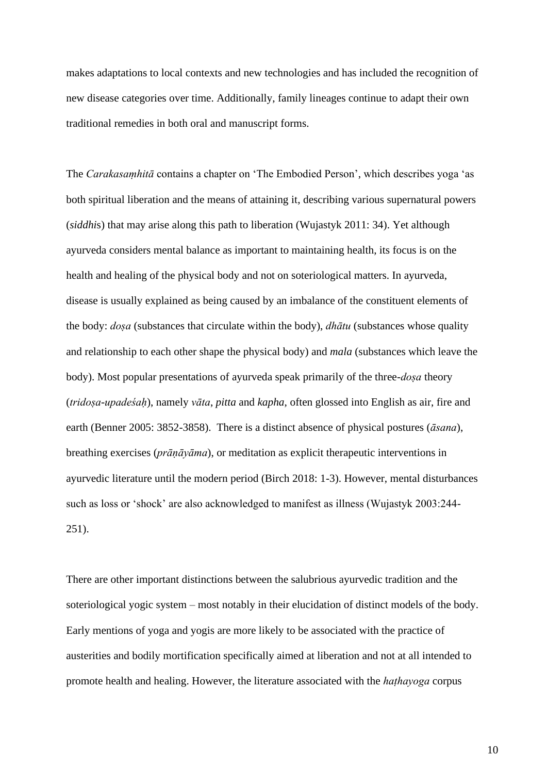makes adaptations to local contexts and new technologies and has included the recognition of new disease categories over time. Additionally, family lineages continue to adapt their own traditional remedies in both oral and manuscript forms.

The *Carakasaṃhitā* contains a chapter on 'The Embodied Person', which describes yoga 'as both spiritual liberation and the means of attaining it, describing various supernatural powers (*siddhi*s) that may arise along this path to liberation (Wujastyk 2011: 34). Yet although ayurveda considers mental balance as important to maintaining health, its focus is on the health and healing of the physical body and not on soteriological matters. In ayurveda, disease is usually explained as being caused by an imbalance of the constituent elements of the body: *doṣa* (substances that circulate within the body), *dhātu* (substances whose quality and relationship to each other shape the physical body) and *mala* (substances which leave the body). Most popular presentations of ayurveda speak primarily of the three-*doṣa* theory (*tridoṣa-upadeśaḥ*), namely *vāta*, *pitta* and *kapha*, often glossed into English as air, fire and earth (Benner 2005: 3852-3858). There is a distinct absence of physical postures (*āsana*), breathing exercises (*prāṇāyāma*), or meditation as explicit therapeutic interventions in ayurvedic literature until the modern period (Birch 2018: 1-3). However, mental disturbances such as loss or 'shock' are also acknowledged to manifest as illness (Wujastyk 2003:244- 251).

There are other important distinctions between the salubrious ayurvedic tradition and the soteriological yogic system – most notably in their elucidation of distinct models of the body. Early mentions of yoga and yogis are more likely to be associated with the practice of austerities and bodily mortification specifically aimed at liberation and not at all intended to promote health and healing. However, the literature associated with the *haṭhayoga* corpus

10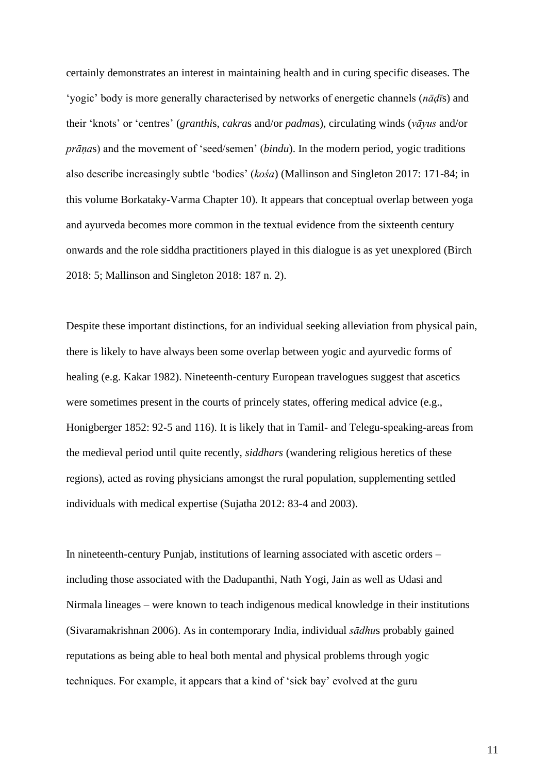certainly demonstrates an interest in maintaining health and in curing specific diseases. The 'yogic' body is more generally characterised by networks of energetic channels (*nāḍī*s) and their 'knots' or 'centres' (*granthi*s, *cakra*s and/or *padma*s), circulating winds (*vāyus* and/or *prāṇa*s) and the movement of 'seed/semen' (*bindu*). In the modern period, yogic traditions also describe increasingly subtle 'bodies' (*kośa*) (Mallinson and Singleton 2017: 171-84; in this volume Borkataky-Varma Chapter 10). It appears that conceptual overlap between yoga and ayurveda becomes more common in the textual evidence from the sixteenth century onwards and the role siddha practitioners played in this dialogue is as yet unexplored (Birch 2018: 5; Mallinson and Singleton 2018: 187 n. 2).

Despite these important distinctions, for an individual seeking alleviation from physical pain, there is likely to have always been some overlap between yogic and ayurvedic forms of healing (e.g. Kakar 1982). Nineteenth-century European travelogues suggest that ascetics were sometimes present in the courts of princely states, offering medical advice (e.g., Honigberger 1852: 92-5 and 116). It is likely that in Tamil- and Telegu-speaking-areas from the medieval period until quite recently, *siddhars* (wandering religious heretics of these regions), acted as roving physicians amongst the rural population, supplementing settled individuals with medical expertise (Sujatha 2012: 83-4 and 2003).

In nineteenth-century Punjab, institutions of learning associated with ascetic orders – including those associated with the Dadupanthi, Nath Yogi, Jain as well as Udasi and Nirmala lineages – were known to teach indigenous medical knowledge in their institutions (Sivaramakrishnan 2006). As in contemporary India, individual *sādhu*s probably gained reputations as being able to heal both mental and physical problems through yogic techniques. For example, it appears that a kind of 'sick bay' evolved at the guru

11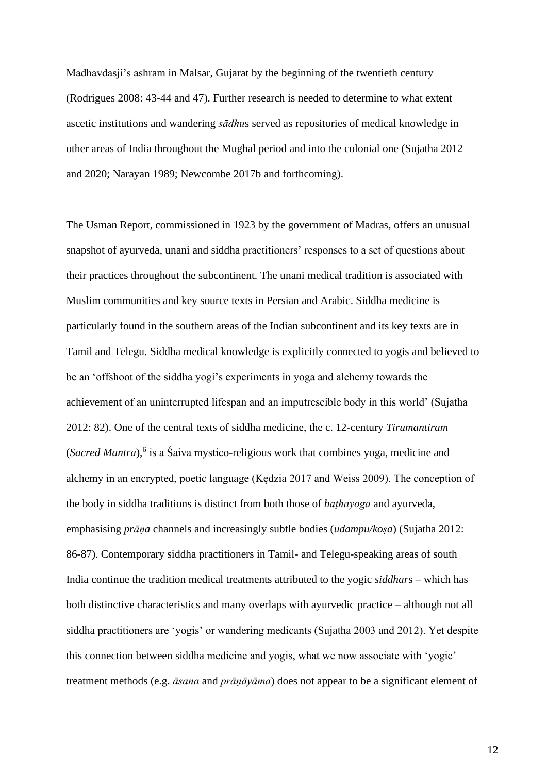Madhavdasji's ashram in Malsar, Gujarat by the beginning of the twentieth century (Rodrigues 2008: 43-44 and 47). Further research is needed to determine to what extent ascetic institutions and wandering *sādhu*s served as repositories of medical knowledge in other areas of India throughout the Mughal period and into the colonial one (Sujatha 2012 and 2020; Narayan 1989; Newcombe 2017b and forthcoming).

The Usman Report, commissioned in 1923 by the government of Madras, offers an unusual snapshot of ayurveda, unani and siddha practitioners' responses to a set of questions about their practices throughout the subcontinent. The unani medical tradition is associated with Muslim communities and key source texts in Persian and Arabic. Siddha medicine is particularly found in the southern areas of the Indian subcontinent and its key texts are in Tamil and Telegu. Siddha medical knowledge is explicitly connected to yogis and believed to be an 'offshoot of the siddha yogi's experiments in yoga and alchemy towards the achievement of an uninterrupted lifespan and an imputrescible body in this world' (Sujatha 2012: 82). One of the central texts of siddha medicine, the c. 12-century *Tirumantiram* (*Sacred Mantra*),<sup>6</sup> is a Śaiva mystico-religious work that combines yoga, medicine and alchemy in an encrypted, poetic language (Kędzia 2017 and Weiss 2009). The conception of the body in siddha traditions is distinct from both those of *haṭhayoga* and ayurveda, emphasising *prāṇa* channels and increasingly subtle bodies (*udampu/koṣa*) (Sujatha 2012: 86-87). Contemporary siddha practitioners in Tamil- and Telegu-speaking areas of south India continue the tradition medical treatments attributed to the yogic *siddhar*s – which has both distinctive characteristics and many overlaps with ayurvedic practice – although not all siddha practitioners are 'yogis' or wandering medicants (Sujatha 2003 and 2012). Yet despite this connection between siddha medicine and yogis, what we now associate with 'yogic' treatment methods (e.g. *āsana* and *prāṇāyāma*) does not appear to be a significant element of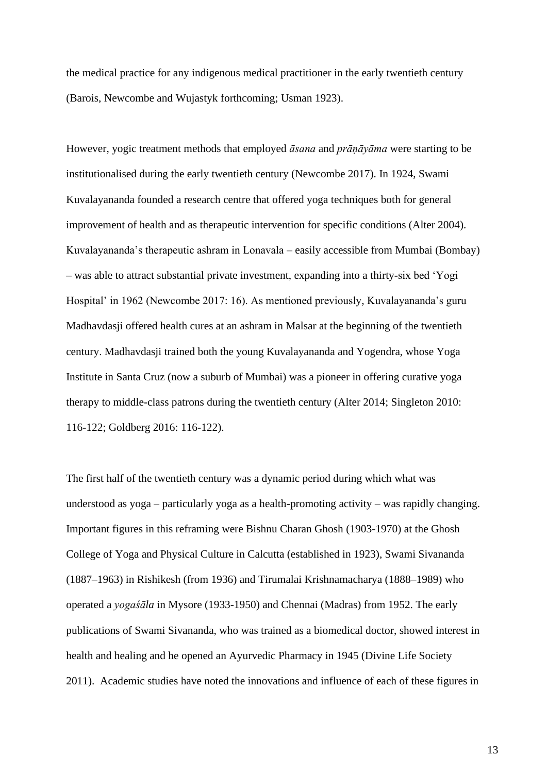the medical practice for any indigenous medical practitioner in the early twentieth century (Barois, Newcombe and Wujastyk forthcoming; Usman 1923).

However, yogic treatment methods that employed *āsana* and *prāṇāyāma* were starting to be institutionalised during the early twentieth century (Newcombe 2017). In 1924, Swami Kuvalayananda founded a research centre that offered yoga techniques both for general improvement of health and as therapeutic intervention for specific conditions (Alter 2004). Kuvalayananda's therapeutic ashram in Lonavala – easily accessible from Mumbai (Bombay) – was able to attract substantial private investment, expanding into a thirty-six bed 'Yogi Hospital' in 1962 (Newcombe 2017: 16). As mentioned previously, Kuvalayananda's guru Madhavdasji offered health cures at an ashram in Malsar at the beginning of the twentieth century. Madhavdasji trained both the young Kuvalayananda and Yogendra, whose Yoga Institute in Santa Cruz (now a suburb of Mumbai) was a pioneer in offering curative yoga therapy to middle-class patrons during the twentieth century (Alter 2014; Singleton 2010: 116-122; Goldberg 2016: 116-122).

The first half of the twentieth century was a dynamic period during which what was understood as yoga – particularly yoga as a health-promoting activity – was rapidly changing. Important figures in this reframing were Bishnu Charan Ghosh (1903-1970) at the Ghosh College of Yoga and Physical Culture in Calcutta (established in 1923), Swami Sivananda (1887–1963) in Rishikesh (from 1936) and Tirumalai Krishnamacharya (1888–1989) who operated a *yogaśāla* in Mysore (1933-1950) and Chennai (Madras) from 1952. The early publications of Swami Sivananda, who was trained as a biomedical doctor, showed interest in health and healing and he opened an Ayurvedic Pharmacy in 1945 (Divine Life Society 2011). Academic studies have noted the innovations and influence of each of these figures in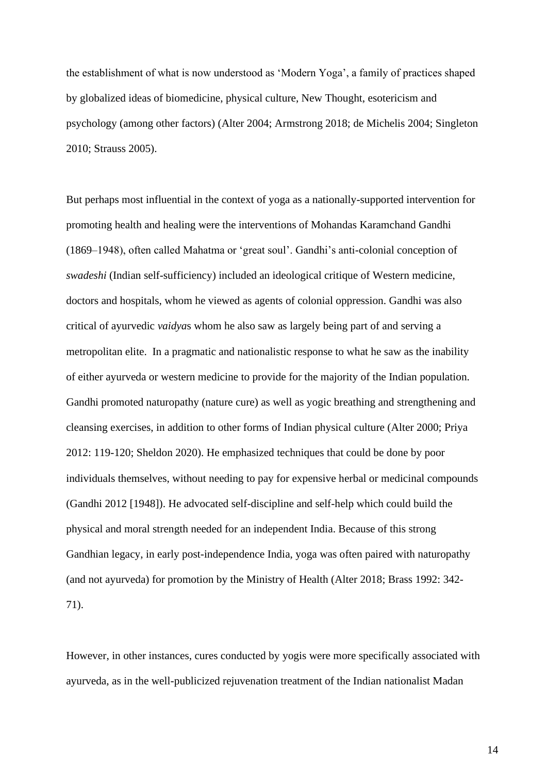the establishment of what is now understood as 'Modern Yoga', a family of practices shaped by globalized ideas of biomedicine, physical culture, New Thought, esotericism and psychology (among other factors) (Alter 2004; Armstrong 2018; de Michelis 2004; Singleton 2010; Strauss 2005).

But perhaps most influential in the context of yoga as a nationally-supported intervention for promoting health and healing were the interventions of Mohandas Karamchand Gandhi (1869–1948), often called Mahatma or 'great soul'. Gandhi's anti-colonial conception of *swadeshi* (Indian self-sufficiency) included an ideological critique of Western medicine, doctors and hospitals, whom he viewed as agents of colonial oppression. Gandhi was also critical of ayurvedic *vaidya*s whom he also saw as largely being part of and serving a metropolitan elite. In a pragmatic and nationalistic response to what he saw as the inability of either ayurveda or western medicine to provide for the majority of the Indian population. Gandhi promoted naturopathy (nature cure) as well as yogic breathing and strengthening and cleansing exercises, in addition to other forms of Indian physical culture (Alter 2000; Priya 2012: 119-120; Sheldon 2020). He emphasized techniques that could be done by poor individuals themselves, without needing to pay for expensive herbal or medicinal compounds (Gandhi 2012 [1948]). He advocated self-discipline and self-help which could build the physical and moral strength needed for an independent India. Because of this strong Gandhian legacy, in early post-independence India, yoga was often paired with naturopathy (and not ayurveda) for promotion by the Ministry of Health (Alter 2018; Brass 1992: 342- 71).

However, in other instances, cures conducted by yogis were more specifically associated with ayurveda, as in the well-publicized rejuvenation treatment of the Indian nationalist Madan

14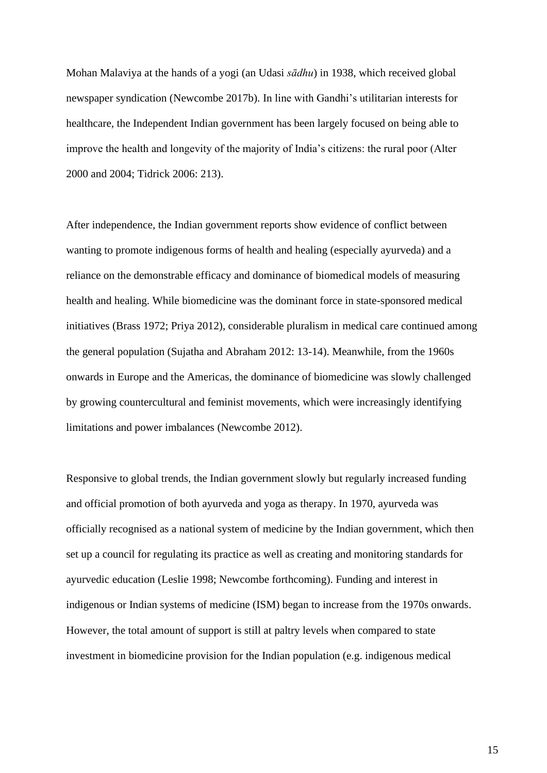Mohan Malaviya at the hands of a yogi (an Udasi *sādhu*) in 1938, which received global newspaper syndication (Newcombe 2017b). In line with Gandhi's utilitarian interests for healthcare, the Independent Indian government has been largely focused on being able to improve the health and longevity of the majority of India's citizens: the rural poor (Alter 2000 and 2004; Tidrick 2006: 213).

After independence, the Indian government reports show evidence of conflict between wanting to promote indigenous forms of health and healing (especially ayurveda) and a reliance on the demonstrable efficacy and dominance of biomedical models of measuring health and healing. While biomedicine was the dominant force in state-sponsored medical initiatives (Brass 1972; Priya 2012), considerable pluralism in medical care continued among the general population (Sujatha and Abraham 2012: 13-14). Meanwhile, from the 1960s onwards in Europe and the Americas, the dominance of biomedicine was slowly challenged by growing countercultural and feminist movements, which were increasingly identifying limitations and power imbalances (Newcombe 2012).

Responsive to global trends, the Indian government slowly but regularly increased funding and official promotion of both ayurveda and yoga as therapy. In 1970, ayurveda was officially recognised as a national system of medicine by the Indian government, which then set up a council for regulating its practice as well as creating and monitoring standards for ayurvedic education (Leslie 1998; Newcombe forthcoming). Funding and interest in indigenous or Indian systems of medicine (ISM) began to increase from the 1970s onwards. However, the total amount of support is still at paltry levels when compared to state investment in biomedicine provision for the Indian population (e.g. indigenous medical

15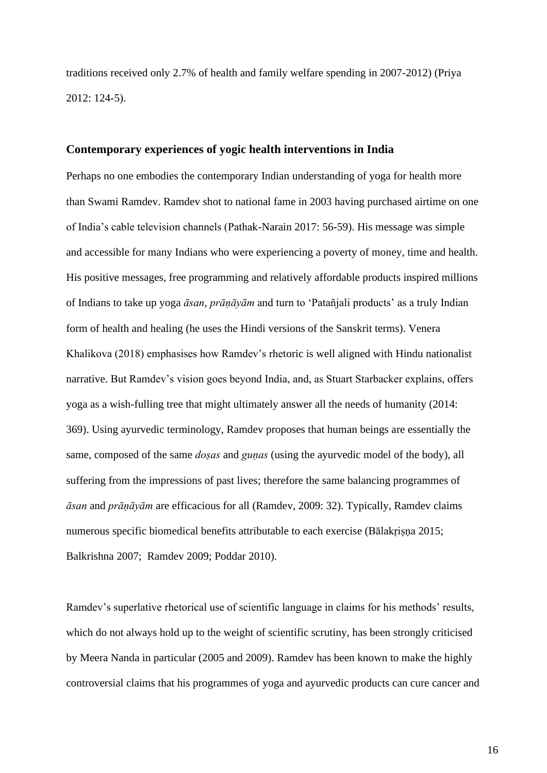traditions received only 2.7% of health and family welfare spending in 2007-2012) (Priya 2012: 124-5).

#### **Contemporary experiences of yogic health interventions in India**

Perhaps no one embodies the contemporary Indian understanding of yoga for health more than Swami Ramdev. Ramdev shot to national fame in 2003 having purchased airtime on one of India's cable television channels (Pathak-Narain 2017: 56-59). His message was simple and accessible for many Indians who were experiencing a poverty of money, time and health. His positive messages, free programming and relatively affordable products inspired millions of Indians to take up yoga *āsan*, *prāṇāyām* and turn to 'Patañjali products' as a truly Indian form of health and healing (he uses the Hindi versions of the Sanskrit terms). Venera Khalikova (2018) emphasises how Ramdev's rhetoric is well aligned with Hindu nationalist narrative. But Ramdev's vision goes beyond India, and, as Stuart Starbacker explains, offers yoga as a wish-fulling tree that might ultimately answer all the needs of humanity (2014: 369). Using ayurvedic terminology, Ramdev proposes that human beings are essentially the same, composed of the same *doṣas* and *guṇas* (using the ayurvedic model of the body), all suffering from the impressions of past lives; therefore the same balancing programmes of *āsan* and *prāṇāyām* are efficacious for all (Ramdev, 2009: 32). Typically, Ramdev claims numerous specific biomedical benefits attributable to each exercise (Bālakrisṇa 2015; Balkrishna 2007; Ramdev 2009; Poddar 2010).

Ramdev's superlative rhetorical use of scientific language in claims for his methods' results, which do not always hold up to the weight of scientific scrutiny, has been strongly criticised by Meera Nanda in particular (2005 and 2009). Ramdev has been known to make the highly controversial claims that his programmes of yoga and ayurvedic products can cure cancer and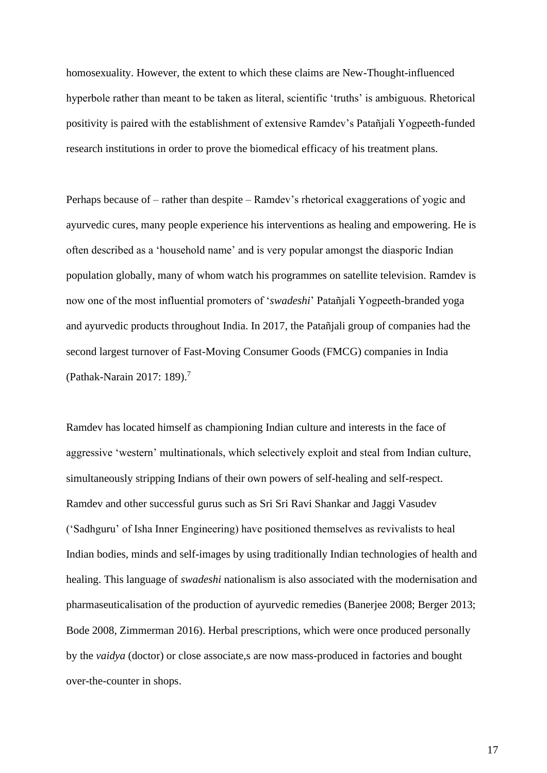homosexuality. However, the extent to which these claims are New-Thought-influenced hyperbole rather than meant to be taken as literal, scientific 'truths' is ambiguous. Rhetorical positivity is paired with the establishment of extensive Ramdev's Patañjali Yogpeeth-funded research institutions in order to prove the biomedical efficacy of his treatment plans.

Perhaps because of – rather than despite – Ramdev's rhetorical exaggerations of yogic and ayurvedic cures, many people experience his interventions as healing and empowering. He is often described as a 'household name' and is very popular amongst the diasporic Indian population globally, many of whom watch his programmes on satellite television. Ramdev is now one of the most influential promoters of '*swadeshi*' Patañjali Yogpeeth-branded yoga and ayurvedic products throughout India. In 2017, the Patañjali group of companies had the second largest turnover of Fast-Moving Consumer Goods (FMCG) companies in India (Pathak-Narain 2017: 189).<sup>7</sup>

Ramdev has located himself as championing Indian culture and interests in the face of aggressive 'western' multinationals, which selectively exploit and steal from Indian culture, simultaneously stripping Indians of their own powers of self-healing and self-respect. Ramdev and other successful gurus such as Sri Sri Ravi Shankar and Jaggi Vasudev ('Sadhguru' of Isha Inner Engineering) have positioned themselves as revivalists to heal Indian bodies, minds and self-images by using traditionally Indian technologies of health and healing. This language of *swadeshi* nationalism is also associated with the modernisation and pharmaseuticalisation of the production of ayurvedic remedies (Banerjee 2008; Berger 2013; Bode 2008, Zimmerman 2016). Herbal prescriptions, which were once produced personally by the *vaidya* (doctor) or close associate,s are now mass-produced in factories and bought over-the-counter in shops.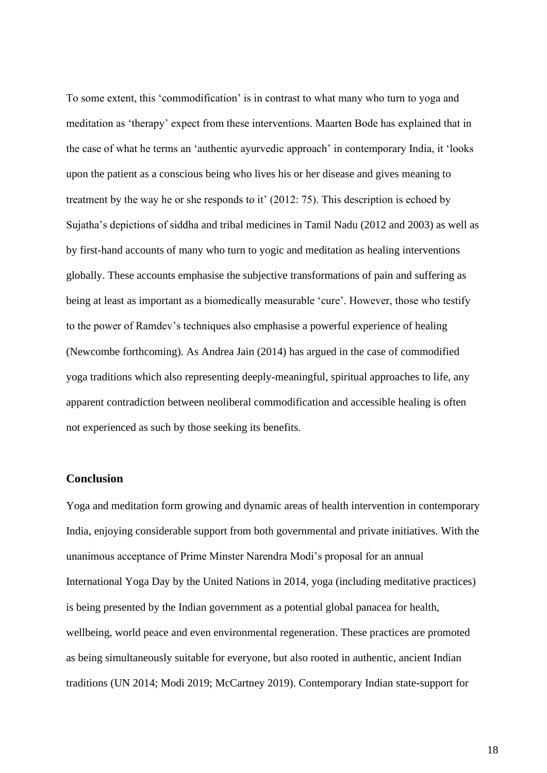To some extent, this 'commodification' is in contrast to what many who turn to yoga and meditation as 'therapy' expect from these interventions. Maarten Bode has explained that in the case of what he terms an 'authentic ayurvedic approach' in contemporary India, it 'looks upon the patient as a conscious being who lives his or her disease and gives meaning to treatment by the way he or she responds to it' (2012: 75). This description is echoed by Sujatha's depictions of siddha and tribal medicines in Tamil Nadu (2012 and 2003) as well as by first-hand accounts of many who turn to yogic and meditation as healing interventions globally. These accounts emphasise the subjective transformations of pain and suffering as being at least as important as a biomedically measurable 'cure'. However, those who testify to the power of Ramdev's techniques also emphasise a powerful experience of healing (Newcombe forthcoming). As Andrea Jain (2014) has argued in the case of commodified yoga traditions which also representing deeply-meaningful, spiritual approaches to life, any apparent contradiction between neoliberal commodification and accessible healing is often not experienced as such by those seeking its benefits.

#### **Conclusion**

Yoga and meditation form growing and dynamic areas of health intervention in contemporary India, enjoying considerable support from both governmental and private initiatives. With the unanimous acceptance of Prime Minster Narendra Modi's proposal for an annual International Yoga Day by the United Nations in 2014, yoga (including meditative practices) is being presented by the Indian government as a potential global panacea for health, wellbeing, world peace and even environmental regeneration. These practices are promoted as being simultaneously suitable for everyone, but also rooted in authentic, ancient Indian traditions (UN 2014; Modi 2019; McCartney 2019). Contemporary Indian state-support for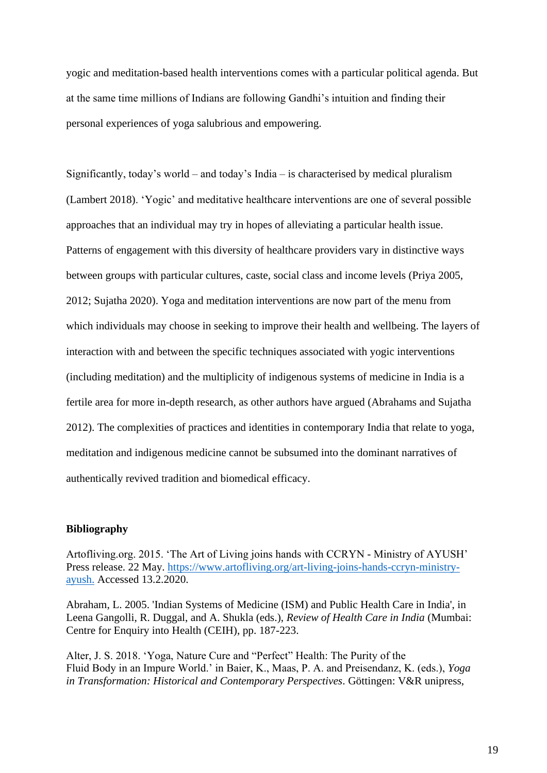yogic and meditation-based health interventions comes with a particular political agenda. But at the same time millions of Indians are following Gandhi's intuition and finding their personal experiences of yoga salubrious and empowering.

Significantly, today's world – and today's India – is characterised by medical pluralism (Lambert 2018). 'Yogic' and meditative healthcare interventions are one of several possible approaches that an individual may try in hopes of alleviating a particular health issue. Patterns of engagement with this diversity of healthcare providers vary in distinctive ways between groups with particular cultures, caste, social class and income levels (Priya 2005, 2012; Sujatha 2020). Yoga and meditation interventions are now part of the menu from which individuals may choose in seeking to improve their health and wellbeing. The layers of interaction with and between the specific techniques associated with yogic interventions (including meditation) and the multiplicity of indigenous systems of medicine in India is a fertile area for more in-depth research, as other authors have argued (Abrahams and Sujatha 2012). The complexities of practices and identities in contemporary India that relate to yoga, meditation and indigenous medicine cannot be subsumed into the dominant narratives of authentically revived tradition and biomedical efficacy.

#### **Bibliography**

Artofliving.org. 2015. 'The Art of Living joins hands with CCRYN - Ministry of AYUSH' Press release. 22 May. [https://www.artofliving.org/art-living-joins-hands-ccryn-ministry](https://www.artofliving.org/art-living-joins-hands-ccryn-ministry-ayush)[ayush.](https://www.artofliving.org/art-living-joins-hands-ccryn-ministry-ayush) Accessed 13.2.2020.

Abraham, L. 2005. 'Indian Systems of Medicine (ISM) and Public Health Care in India', in Leena Gangolli, R. Duggal, and A. Shukla (eds.), *Review of Health Care in India* (Mumbai: Centre for Enquiry into Health (CEIH), pp. 187-223.

Alter, J. S. 2018. 'Yoga, Nature Cure and "Perfect" Health: The Purity of the Fluid Body in an Impure World.' in Baier, K., Maas, P. A. and Preisendanz, K. (eds.), *Yoga in Transformation: Historical and Contemporary Perspectives*. Göttingen: V&R unipress,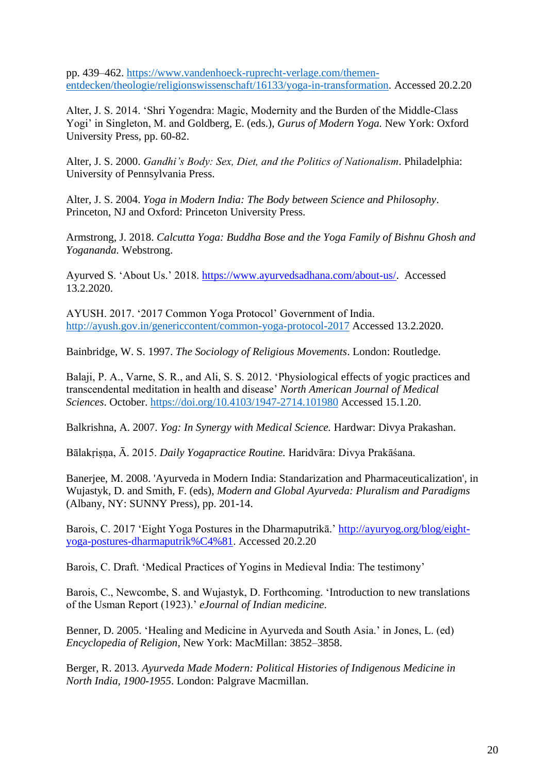pp. 439–462. [https://www.vandenhoeck-ruprecht-verlage.com/themen](https://www.vandenhoeck-ruprecht-verlage.com/themen-entdecken/theologie/religionswissenschaft/16133/yoga-in-transformation)[entdecken/theologie/religionswissenschaft/16133/yoga-in-transformation.](https://www.vandenhoeck-ruprecht-verlage.com/themen-entdecken/theologie/religionswissenschaft/16133/yoga-in-transformation) Accessed 20.2.20

Alter, J. S. 2014. 'Shri Yogendra: Magic, Modernity and the Burden of the Middle-Class Yogi' in Singleton, M. and Goldberg, E. (eds.), *Gurus of Modern Yoga.* New York: Oxford University Press, pp. 60-82.

Alter, J. S. 2000. *Gandhi's Body: Sex, Diet, and the Politics of Nationalism*. Philadelphia: University of Pennsylvania Press.

Alter, J. S. 2004. *Yoga in Modern India: The Body between Science and Philosophy*. Princeton, NJ and Oxford: Princeton University Press.

Armstrong, J. 2018. *Calcutta Yoga: Buddha Bose and the Yoga Family of Bishnu Ghosh and Yogananda.* Webstrong.

Ayurved S. 'About Us.' 2018. [https://www.ayurvedsadhana.com/about-us/.](https://www.ayurvedsadhana.com/about-us/) Accessed 13.2.2020.

AYUSH. 2017. '2017 Common Yoga Protocol' Government of India. <http://ayush.gov.in/genericcontent/common-yoga-protocol-2017> Accessed 13.2.2020.

Bainbridge, W. S. 1997. *The Sociology of Religious Movements*. London: Routledge.

Balaji, P. A., Varne, S. R., and Ali, S. S. 2012. 'Physiological effects of yogic practices and transcendental meditation in health and disease' *North American Journal of Medical Sciences*. October.<https://doi.org/10.4103/1947-2714.101980> Accessed 15.1.20.

Balkrishna, A. 2007. *Yog: In Synergy with Medical Science.* Hardwar: Divya Prakashan.

Bālakṛiṣṇa, Ā. 2015. *Daily Yogapractice Routine.* Haridvāra: Divya Prakāśana.

Banerjee, M. 2008. 'Ayurveda in Modern India: Standarization and Pharmaceuticalization', in Wujastyk, D. and Smith, F. (eds), *Modern and Global Ayurveda: Pluralism and Paradigms* (Albany, NY: SUNNY Press), pp. 201-14.

Barois, C. 2017 'Eight Yoga Postures in the Dharmaputrikā.' [http://ayuryog.org/blog/eight](http://ayuryog.org/blog/eight-yoga-postures-dharmaputrikā)[yoga-postures-dharmaputrik%C4%81.](http://ayuryog.org/blog/eight-yoga-postures-dharmaputrikā) Accessed 20.2.20

Barois, C. Draft. 'Medical Practices of Yogins in Medieval India: The testimony'

Barois, C., Newcombe, S. and Wujastyk, D. Forthcoming. 'Introduction to new translations of the Usman Report (1923).' *eJournal of Indian medicine*.

Benner, D. 2005. 'Healing and Medicine in Ayurveda and South Asia.' in Jones, L. (ed) *Encyclopedia of Religion*, New York: MacMillan: 3852–3858.

Berger, R. 2013. *Ayurveda Made Modern: Political Histories of Indigenous Medicine in North India, 1900-1955*. London: Palgrave Macmillan.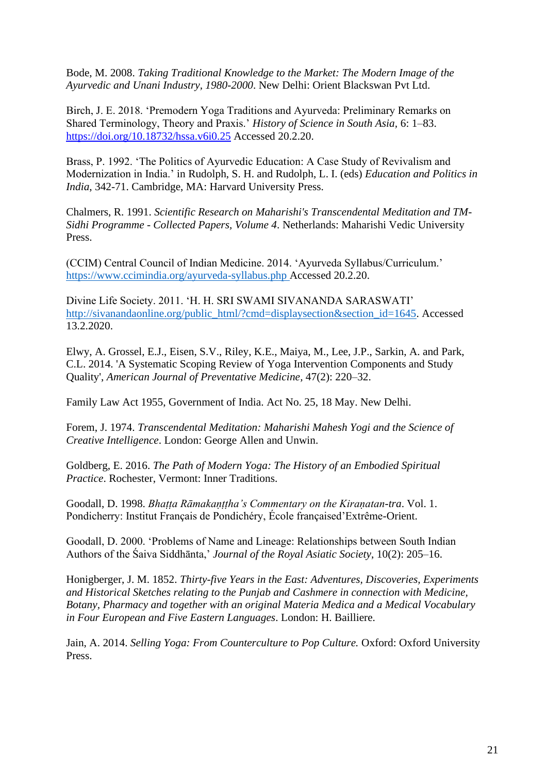Bode, M. 2008. *Taking Traditional Knowledge to the Market: The Modern Image of the Ayurvedic and Unani Industry, 1980-2000*. New Delhi: Orient Blackswan Pvt Ltd.

Birch, J. E. 2018. 'Premodern Yoga Traditions and Ayurveda: Preliminary Remarks on Shared Terminology, Theory and Praxis.' *History of Science in South Asia,* 6: 1–83. <https://doi.org/10.18732/hssa.v6i0.25> Accessed 20.2.20.

Brass, P. 1992. 'The Politics of Ayurvedic Education: A Case Study of Revivalism and Modernization in India.' in Rudolph, S. H. and Rudolph, L. I. (eds) *Education and Politics in India*, 342-71. Cambridge, MA: Harvard University Press.

Chalmers, R. 1991. *Scientific Research on Maharishi's Transcendental Meditation and TM-Sidhi Programme - Collected Papers, Volume 4*. Netherlands: Maharishi Vedic University Press.

(CCIM) Central Council of Indian Medicine. 2014. 'Ayurveda Syllabus/Curriculum.' <https://www.ccimindia.org/ayurveda-syllabus.php> Accessed 20.2.20.

Divine Life Society. 2011. 'H. H. SRI SWAMI SIVANANDA SARASWATI' [http://sivanandaonline.org/public\\_html/?cmd=displaysection&section\\_id=1645.](http://sivanandaonline.org/public_html/?cmd=displaysection§ion_id=1645) Accessed 13.2.2020.

Elwy, A. Grossel, E.J., Eisen, S.V., Riley, K.E., Maiya, M., Lee, J.P., Sarkin, A. and Park, C.L. 2014. 'A Systematic Scoping Review of Yoga Intervention Components and Study Quality', *American Journal of Preventative Medicine,* 47(2): 220–32.

Family Law Act 1955, Government of India. Act No. 25, 18 May. New Delhi.

Forem, J. 1974. *Transcendental Meditation: Maharishi Mahesh Yogi and the Science of Creative Intelligence*. London: George Allen and Unwin.

Goldberg, E. 2016. *The Path of Modern Yoga: The History of an Embodied Spiritual Practice*. Rochester, Vermont: Inner Traditions.

Goodall, D. 1998. *Bhaṭṭa Rāmakaṇṭṭha's Commentary on the Kiraṇatan-tra*. Vol. 1. Pondicherry: Institut Français de Pondichéry, École françaised'Extrême-Orient.

Goodall, D. 2000. 'Problems of Name and Lineage: Relationships between South Indian Authors of the Śaiva Siddhānta,' *Journal of the Royal Asiatic Society*, 10(2): 205–16.

Honigberger, J. M. 1852. *Thirty-five Years in the East: Adventures, Discoveries, Experiments and Historical Sketches relating to the Punjab and Cashmere in connection with Medicine, Botany, Pharmacy and together with an original Materia Medica and a Medical Vocabulary in Four European and Five Eastern Languages*. London: H. Bailliere.

Jain, A. 2014. *Selling Yoga: From Counterculture to Pop Culture*. Oxford: Oxford University Press.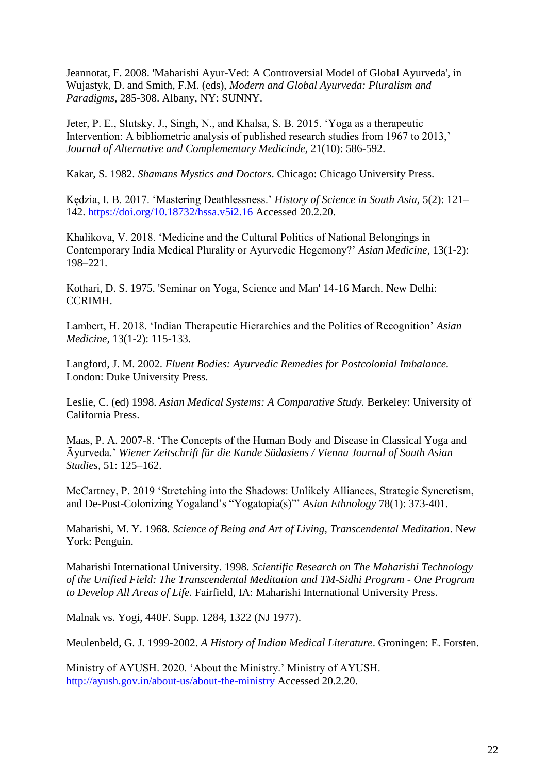Jeannotat, F. 2008. 'Maharishi Ayur-Ved: A Controversial Model of Global Ayurveda', in Wujastyk, D. and Smith, F.M. (eds), *Modern and Global Ayurveda: Pluralism and Paradigms,* 285-308. Albany, NY: SUNNY.

Jeter, P. E., Slutsky, J., Singh, N., and Khalsa, S. B. 2015. 'Yoga as a therapeutic Intervention: A bibliometric analysis of published research studies from 1967 to 2013,' *Journal of Alternative and Complementary Medicinde,* 21(10): 586-592.

Kakar, S. 1982. *Shamans Mystics and Doctors*. Chicago: Chicago University Press.

Kędzia, I. B. 2017. 'Mastering Deathlessness.' *History of Science in South Asia,* 5(2): 121– 142.<https://doi.org/10.18732/hssa.v5i2.16> Accessed 20.2.20.

Khalikova, V. 2018. 'Medicine and the Cultural Politics of National Belongings in Contemporary India Medical Plurality or Ayurvedic Hegemony?' *Asian Medicine,* 13(1-2): 198–221.

Kothari, D. S. 1975. 'Seminar on Yoga, Science and Man' 14-16 March. New Delhi: CCRIMH.

Lambert, H. 2018. 'Indian Therapeutic Hierarchies and the Politics of Recognition' *Asian Medicine,* 13(1-2): 115-133.

Langford, J. M. 2002. *Fluent Bodies: Ayurvedic Remedies for Postcolonial Imbalance.* London: Duke University Press.

Leslie, C. (ed) 1998. *Asian Medical Systems: A Comparative Study.* Berkeley: University of California Press.

Maas, P. A. 2007-8. 'The Concepts of the Human Body and Disease in Classical Yoga and Āyurveda.' *Wiener Zeitschrift für die Kunde Südasiens / Vienna Journal of South Asian Studies,* 51: 125–162.

McCartney, P. 2019 'Stretching into the Shadows: Unlikely Alliances, Strategic Syncretism, and De-Post-Colonizing Yogaland's "Yogatopia(s)"' *Asian Ethnology* 78(1): 373-401.

Maharishi, M. Y. 1968. *Science of Being and Art of Living, Transcendental Meditation*. New York: Penguin.

Maharishi International University. 1998. *Scientific Research on The Maharishi Technology of the Unified Field: The Transcendental Meditation and TM-Sidhi Program - One Program to Develop All Areas of Life.* Fairfield, IA: Maharishi International University Press.

Malnak vs. Yogi, 440F. Supp. 1284, 1322 (NJ 1977).

Meulenbeld, G. J. 1999-2002. *A History of Indian Medical Literature*. Groningen: E. Forsten.

Ministry of AYUSH. 2020. 'About the Ministry.' Ministry of AYUSH. <http://ayush.gov.in/about-us/about-the-ministry> Accessed 20.2.20.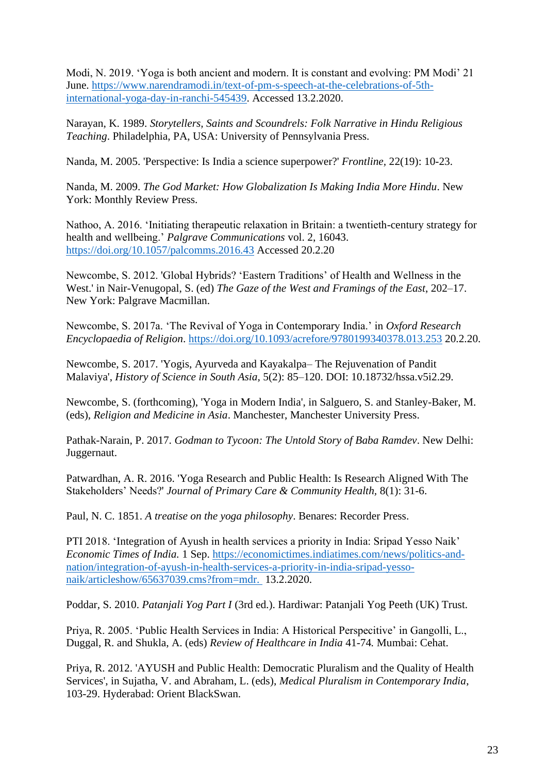Modi, N. 2019. 'Yoga is both ancient and modern. It is constant and evolving: PM Modi' 21 June. [https://www.narendramodi.in/text-of-pm-s-speech-at-the-celebrations-of-5th](https://www.narendramodi.in/text-of-pm-s-speech-at-the-celebrations-of-5th-international-yoga-day-in-ranchi-545439)[international-yoga-day-in-ranchi-545439.](https://www.narendramodi.in/text-of-pm-s-speech-at-the-celebrations-of-5th-international-yoga-day-in-ranchi-545439) Accessed 13.2.2020.

Narayan, K. 1989. *Storytellers, Saints and Scoundrels: Folk Narrative in Hindu Religious Teaching*. Philadelphia, PA, USA: University of Pennsylvania Press.

Nanda, M. 2005. 'Perspective: Is India a science superpower?' *Frontline,* 22(19): 10-23.

Nanda, M. 2009. *The God Market: How Globalization Is Making India More Hindu*. New York: Monthly Review Press.

Nathoo, A. 2016. 'Initiating therapeutic relaxation in Britain: a twentieth-century strategy for health and wellbeing.' *Palgrave Communications* vol. 2, 16043. <https://doi.org/10.1057/palcomms.2016.43> Accessed 20.2.20

Newcombe, S. 2012. 'Global Hybrids? 'Eastern Traditions' of Health and Wellness in the West.' in Nair-Venugopal, S. (ed) *The Gaze of the West and Framings of the East*, 202–17. New York: Palgrave Macmillan.

Newcombe, S. 2017a. 'The Revival of Yoga in Contemporary India.' in *Oxford Research Encyclopaedia of Religion*. <https://doi.org/10.1093/acrefore/9780199340378.013.253> 20.2.20.

Newcombe, S. 2017. 'Yogis, Ayurveda and Kayakalpa– The Rejuvenation of Pandit Malaviya', *History of Science in South Asia,* 5(2): 85–120. DOI: 10.18732/hssa.v5i2.29.

Newcombe, S. (forthcoming), 'Yoga in Modern India', in Salguero, S. and Stanley-Baker, M. (eds), *Religion and Medicine in Asia*. Manchester, Manchester University Press.

Pathak-Narain, P. 2017. *Godman to Tycoon: The Untold Story of Baba Ramdev*. New Delhi: Juggernaut.

Patwardhan, A. R. 2016. 'Yoga Research and Public Health: Is Research Aligned With The Stakeholders' Needs?' *Journal of Primary Care & Community Health,* 8(1): 31-6.

Paul, N. C. 1851. *A treatise on the yoga philosophy*. Benares: Recorder Press.

PTI 2018. 'Integration of Ayush in health services a priority in India: Sripad Yesso Naik' *Economic Times of India.* 1 Sep. [https://economictimes.indiatimes.com/news/politics-and](https://economictimes.indiatimes.com/news/politics-and-nation/integration-of-ayush-in-health-services-a-priority-in-india-sripad-yesso-naik/articleshow/65637039.cms?from=mdr)[nation/integration-of-ayush-in-health-services-a-priority-in-india-sripad-yesso](https://economictimes.indiatimes.com/news/politics-and-nation/integration-of-ayush-in-health-services-a-priority-in-india-sripad-yesso-naik/articleshow/65637039.cms?from=mdr)[naik/articleshow/65637039.cms?from=mdr.](https://economictimes.indiatimes.com/news/politics-and-nation/integration-of-ayush-in-health-services-a-priority-in-india-sripad-yesso-naik/articleshow/65637039.cms?from=mdr) 13.2.2020.

Poddar, S. 2010. *Patanjali Yog Part I* (3rd ed.). Hardiwar: Patanjali Yog Peeth (UK) Trust.

Priya, R. 2005. 'Public Health Services in India: A Historical Perspecitive' in Gangolli, L., Duggal, R. and Shukla, A. (eds) *Review of Healthcare in India* 41-74*.* Mumbai: Cehat.

Priya, R. 2012. 'AYUSH and Public Health: Democratic Pluralism and the Quality of Health Services', in Sujatha, V. and Abraham, L. (eds), *Medical Pluralism in Contemporary India*, 103-29. Hyderabad: Orient BlackSwan.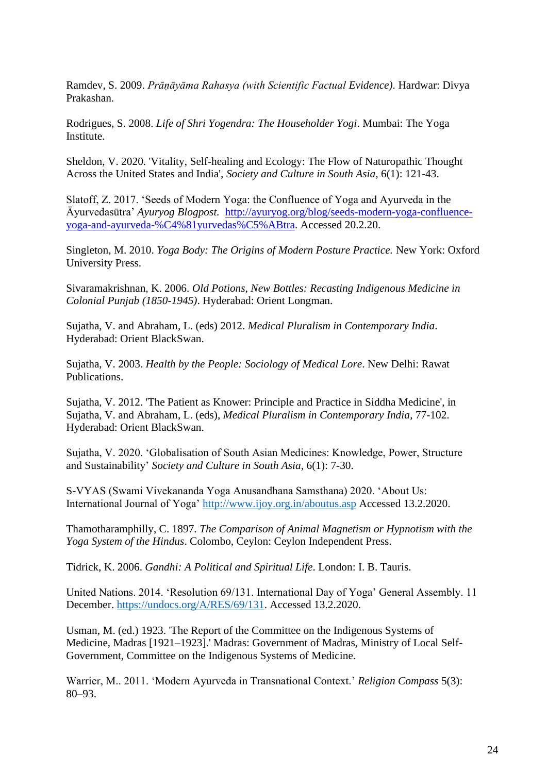Ramdev, S. 2009. *Prāṇāyāma Rahasya (with Scientific Factual Evidence)*. Hardwar: Divya Prakashan.

Rodrigues, S. 2008. *Life of Shri Yogendra: The Householder Yogi*. Mumbai: The Yoga Institute.

Sheldon, V. 2020. 'Vitality, Self-healing and Ecology: The Flow of Naturopathic Thought Across the United States and India', *Society and Culture in South Asia,* 6(1): 121-43.

Slatoff, Z. 2017. 'Seeds of Modern Yoga: the Confluence of Yoga and Ayurveda in the Āyurvedasūtra' *Ayuryog Blogpost.* [http://ayuryog.org/blog/seeds-modern-yoga-confluence](http://ayuryog.org/blog/seeds-modern-yoga-confluence-yoga-and-ayurveda-āyurvedasūtra)[yoga-and-ayurveda-%C4%81yurvedas%C5%ABtra.](http://ayuryog.org/blog/seeds-modern-yoga-confluence-yoga-and-ayurveda-āyurvedasūtra) Accessed 20.2.20.

Singleton, M. 2010. *Yoga Body: The Origins of Modern Posture Practice.* New York: Oxford University Press.

Sivaramakrishnan, K. 2006. *Old Potions, New Bottles: Recasting Indigenous Medicine in Colonial Punjab (1850-1945)*. Hyderabad: Orient Longman.

Sujatha, V. and Abraham, L. (eds) 2012. *Medical Pluralism in Contemporary India*. Hyderabad: Orient BlackSwan.

Sujatha, V. 2003. *Health by the People: Sociology of Medical Lore*. New Delhi: Rawat Publications.

Sujatha, V. 2012. 'The Patient as Knower: Principle and Practice in Siddha Medicine', in Sujatha, V. and Abraham, L. (eds), *Medical Pluralism in Contemporary India*, 77-102. Hyderabad: Orient BlackSwan.

Sujatha, V. 2020. 'Globalisation of South Asian Medicines: Knowledge, Power, Structure and Sustainability' *Society and Culture in South Asia,* 6(1): 7-30.

S-VYAS (Swami Vivekananda Yoga Anusandhana Samsthana) 2020. 'About Us: International Journal of Yoga'<http://www.ijoy.org.in/aboutus.asp> Accessed 13.2.2020.

Thamotharamphilly, C. 1897. *The Comparison of Animal Magnetism or Hypnotism with the Yoga System of the Hindus*. Colombo, Ceylon: Ceylon Independent Press.

Tidrick, K. 2006. *Gandhi: A Political and Spiritual Life*. London: I. B. Tauris.

United Nations. 2014. 'Resolution 69/131. International Day of Yoga' General Assembly. 11 December. [https://undocs.org/A/RES/69/131.](https://undocs.org/A/RES/69/131) Accessed 13.2.2020.

Usman, M. (ed.) 1923. 'The Report of the Committee on the Indigenous Systems of Medicine, Madras [1921–1923].' Madras: Government of Madras, Ministry of Local Self-Government, Committee on the Indigenous Systems of Medicine.

Warrier, M.. 2011. 'Modern Ayurveda in Transnational Context.' *Religion Compass* 5(3): 80–93.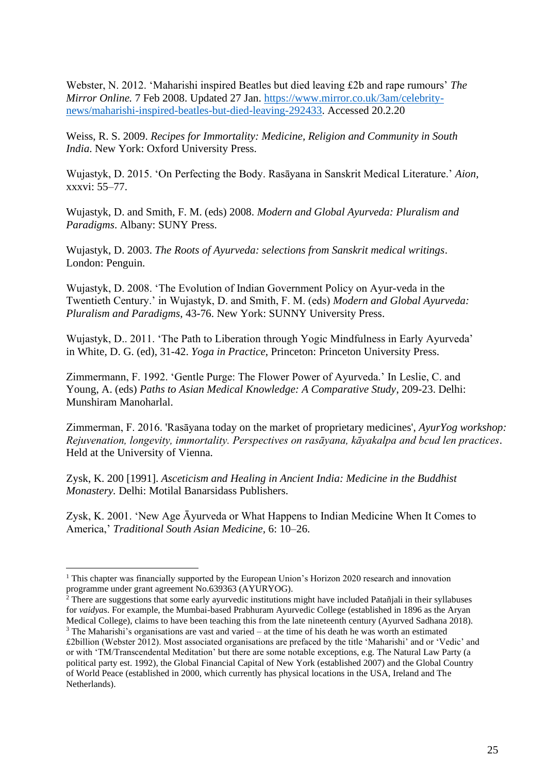Webster, N. 2012. 'Maharishi inspired Beatles but died leaving £2b and rape rumours' *The Mirror Online.* 7 Feb 2008. Updated 27 Jan. [https://www.mirror.co.uk/3am/celebrity](https://www.mirror.co.uk/3am/celebrity-news/maharishi-inspired-beatles-but-died-leaving-292433)[news/maharishi-inspired-beatles-but-died-leaving-292433.](https://www.mirror.co.uk/3am/celebrity-news/maharishi-inspired-beatles-but-died-leaving-292433) Accessed 20.2.20

Weiss, R. S. 2009. *Recipes for Immortality: Medicine, Religion and Community in South India*. New York: Oxford University Press.

Wujastyk, D. 2015. 'On Perfecting the Body. Rasāyana in Sanskrit Medical Literature.' *Aion,*  xxxvi: 55–77.

Wujastyk, D. and Smith, F. M. (eds) 2008. *Modern and Global Ayurveda: Pluralism and Paradigms*. Albany: SUNY Press.

Wujastyk, D. 2003. *The Roots of Ayurveda: selections from Sanskrit medical writings*. London: Penguin.

Wujastyk, D. 2008. 'The Evolution of Indian Government Policy on Ayur-veda in the Twentieth Century.' in Wujastyk, D. and Smith, F. M. (eds) *Modern and Global Ayurveda: Pluralism and Paradigms*, 43-76. New York: SUNNY University Press.

Wujastyk, D.. 2011. 'The Path to Liberation through Yogic Mindfulness in Early Ayurveda' in White, D. G. (ed), 31-42. *Yoga in Practice*, Princeton: Princeton University Press.

Zimmermann, F. 1992. 'Gentle Purge: The Flower Power of Ayurveda.' In Leslie, C. and Young, A. (eds) *Paths to Asian Medical Knowledge: A Comparative Study*, 209-23. Delhi: Munshiram Manoharlal.

Zimmerman, F. 2016. 'Rasāyana today on the market of proprietary medicines', *AyurYog workshop: Rejuvenation, longevity, immortality. Perspectives on rasāyana, kāyakalpa and bcud len practices*. Held at the University of Vienna.

Zysk, K. 200 [1991]. *Asceticism and Healing in Ancient India: Medicine in the Buddhist Monastery.* Delhi: Motilal Banarsidass Publishers.

Zysk, K. 2001. 'New Age Āyurveda or What Happens to Indian Medicine When It Comes to America,' *Traditional South Asian Medicine,* 6: 10–26.

 $1$ <sup>1</sup> This chapter was financially supported by the European Union's Horizon 2020 research and innovation programme under grant agreement No.639363 (AYURYOG).

 $^2$  There are suggestions that some early ayurvedic institutions might have included Patañjali in their syllabuses for *vaidya*s. For example, the Mumbai-based Prabhuram Ayurvedic College (established in 1896 as the Aryan Medical College), claims to have been teaching this from the late nineteenth century (Ayurved Sadhana 2018).  $3$  The Maharishi's organisations are vast and varied – at the time of his death he was worth an estimated £2billion (Webster 2012). Most associated organisations are prefaced by the title 'Maharishi' and or 'Vedic' and or with 'TM/Transcendental Meditation' but there are some notable exceptions, e.g. The Natural Law Party (a political party est. 1992), the Global Financial Capital of New York (established 2007) and the Global Country of World Peace (established in 2000, which currently has physical locations in the USA, Ireland and The Netherlands).